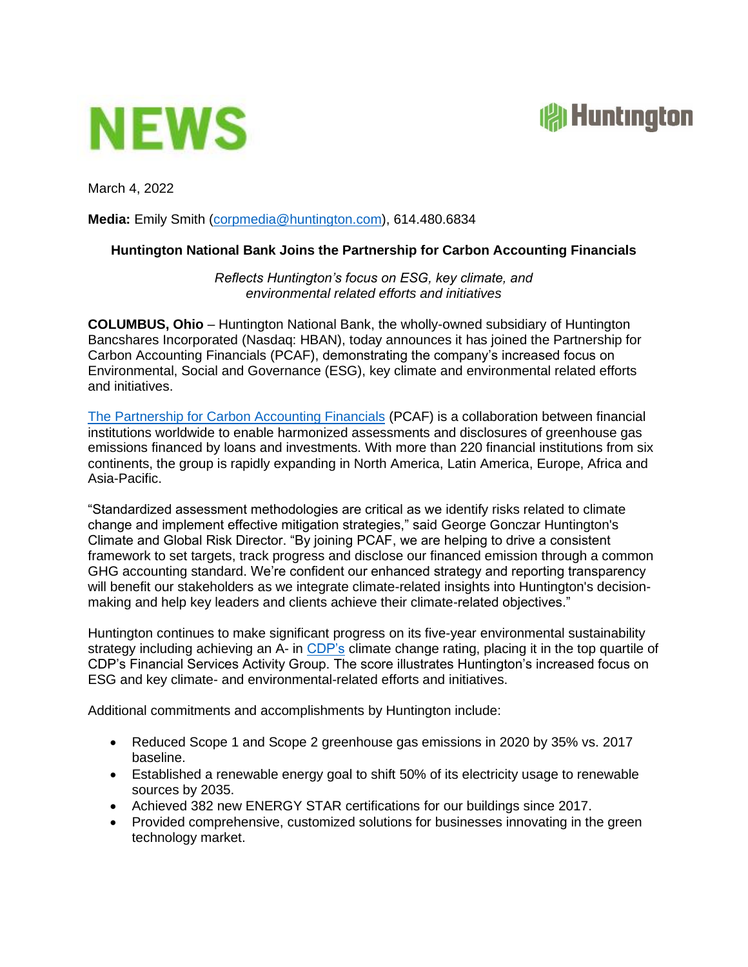



March 4, 2022

**Media:** Emily Smith [\(corpmedia@huntington.com\)](mailto:corpmedia@huntington.com), 614.480.6834

## **Huntington National Bank Joins the Partnership for Carbon Accounting Financials**

*Reflects Huntington's focus on ESG, key climate, and environmental related efforts and initiatives*

**COLUMBUS, Ohio** – Huntington National Bank, the wholly-owned subsidiary of Huntington Bancshares Incorporated (Nasdaq: HBAN), today announces it has joined the Partnership for Carbon Accounting Financials (PCAF), demonstrating the company's increased focus on Environmental, Social and Governance (ESG), key climate and environmental related efforts and initiatives.

[The Partnership for Carbon Accounting Financials](https://carbonaccountingfinancials.com/) (PCAF) is a collaboration between financial institutions worldwide to enable harmonized assessments and disclosures of greenhouse gas emissions financed by loans and investments. With more than 220 financial institutions from six continents, the group is rapidly expanding in North America, Latin America, Europe, Africa and Asia-Pacific.

"Standardized assessment methodologies are critical as we identify risks related to climate change and implement effective mitigation strategies," said George Gonczar Huntington's Climate and Global Risk Director. "By joining PCAF, we are helping to drive a consistent framework to set targets, track progress and disclose our financed emission through a common GHG accounting standard. We're confident our enhanced strategy and reporting transparency will benefit our stakeholders as we integrate climate-related insights into Huntington's decisionmaking and help key leaders and clients achieve their climate-related objectives."

Huntington continues to make significant progress on its five-year environmental sustainability strategy including achieving an A- in [CDP's](https://www.cdp.net/en/scores) climate change rating, placing it in the top quartile of CDP's Financial Services Activity Group. The score illustrates Huntington's increased focus on ESG and key climate- and environmental-related efforts and initiatives.

Additional commitments and accomplishments by Huntington include:

- Reduced Scope 1 and Scope 2 greenhouse gas emissions in 2020 by 35% vs. 2017 baseline.
- Established a renewable energy goal to shift 50% of its electricity usage to renewable sources by 2035.
- Achieved 382 new ENERGY STAR certifications for our buildings since 2017.
- Provided comprehensive, customized solutions for businesses innovating in the green technology market.